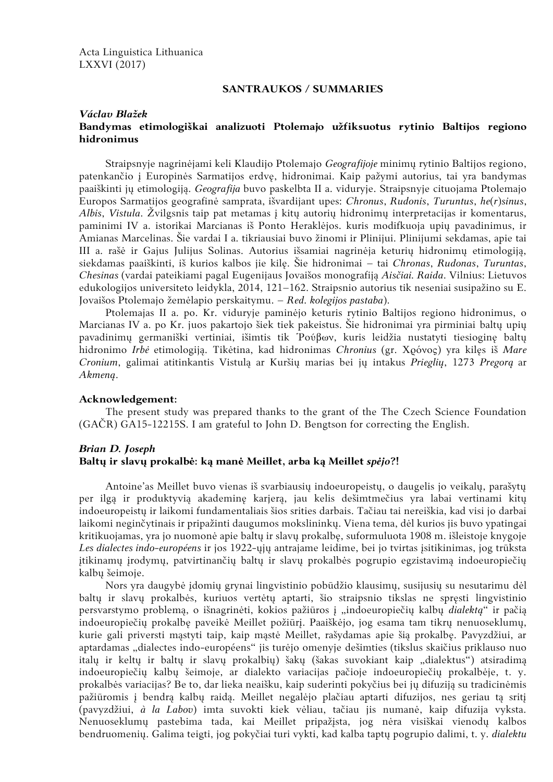Acta Linguistica Lithuanica LXXVI (2017)

### **SANTRAUKOS / SUMMARIES**

#### *Václav Blažek*

## **Bandymas etimologiškai analizuoti Ptolemajo užfiksuotus rytinio Baltijos regiono hidronimus**

Straipsnyje nagrinėjami keli Klaudijo Ptolemajo *Geografijoje* minimų rytinio Baltijos regiono, patenkančio į Europinės Sarmatijos erdvę, hidronimai. Kaip pažymi autorius, tai yra bandymas paaiškinti jų etimologiją. *Geografija* buvo paskelbta II a. viduryje. Straipsnyje cituojama Ptolemajo Europos Sarmatijos geografinė samprata, išvardijant upes: *Chronus*, *Rudonis*, *Turuntus*, *he*(*r*)*sinus*, *Albis*, *Vistula*. Žvilgsnis taip pat metamas į kitų autorių hidronimų interpretacijas ir komentarus, paminimi IV a. istorikai Marcianas iš Ponto Heraklėjos. kuris modifkuoja upių pavadinimus, ir Amianas Marcelinas. Šie vardai I a. tikriausiai buvo žinomi ir Plinijui. Plinijumi sekdamas, apie tai III a. rašė ir Gajus Julijus Solinas. Autorius išsamiai nagrinėja keturių hidronimų etimologiją, siekdamas paaiškinti, iš kurios kalbos jie kilę. Šie hidronimai – tai *Chronas*, *Rudonas*, *Turuntas*, *Chesinas* (vardai pateikiami pagal Eugenijaus Jovaišos monografiją *Aisčiai. Raida*. Vilnius: Lietuvos edukologijos universiteto leidykla, 2014, 121–162. Straipsnio autorius tik neseniai susipažino su E. Jovaišos Ptolemajo žemėlapio perskaitymu. – *Red. kolegijos pastaba*).

Ptolemajas II a. po. Kr. viduryje paminėjo keturis rytinio Baltijos regiono hidronimus, o Marcianas IV a. po Kr. juos pakartojo šiek tiek pakeistus. Šie hidronimai yra pirminiai baltų upių pavadinimų germaniški vertiniai, išimtis tik Ῥούβων, kuris leidžia nustatyti tiesioginę baltų hidronimo *Irbė* etimologiją. Tikėtina, kad hidronimas *Chronius* (gr. Χρόνος) yra kilęs iš *Mare Cronium*, galimai atitinkantis Vistulą ar Kuršių marias bei jų intakus *Prieglių*, 1273 *Pregorą* ar *Akmeną*.

#### **Acknowledgement:**

The present study was prepared thanks to the grant of the The Czech Science Foundation (GAČR) GA15-12215S. I am grateful to John D. Bengtson for correcting the English.

#### *Brian D. Joseph* **Baltų ir slavų prokalbė: ką manė Meillet, arba ką Meillet** *spėjo***?!**

Antoine'as Meillet buvo vienas iš svarbiausių indoeuropeistų, o daugelis jo veikalų, parašytų per ilgą ir produktyvią akademinę karjerą, jau kelis dešimtmečius yra labai vertinami kitų indoeuropeistų ir laikomi fundamentaliais šios srities darbais. Tačiau tai nereiškia, kad visi jo darbai laikomi neginčytinais ir pripažinti daugumos mokslininkų. Viena tema, dėl kurios jis buvo ypatingai kritikuojamas, yra jo nuomonė apie baltų ir slavų prokalbę, suformuluota 1908 m. išleistoje knygoje *Les dialectes indo-européens* ir jos 1922-ųjų antrajame leidime, bei jo tvirtas įsitikinimas, jog trūksta įtikinamų įrodymų, patvirtinančių baltų ir slavų prokalbės pogrupio egzistavimą indoeuropiečių kalbų šeimoje.

Nors yra daugybė įdomių grynai lingvistinio pobūdžio klausimų, susijusių su nesutarimu dėl baltų ir slavų prokalbės, kuriuos vertėtų aptarti, šio straipsnio tikslas ne spręsti lingvistinio persvarstymo problemą, o išnagrinėti, kokios pažiūros į "indoeuropiečių kalbų *dialektą"* ir pačią indoeuropiečių prokalbę paveikė Meillet požiūrį. Paaiškėjo, jog esama tam tikrų nenuoseklumų, kurie gali priversti mąstyti taip, kaip mąstė Meillet, rašydamas apie šią prokalbę. Pavyzdžiui, ar aptardamas "dialectes indo-européens" jis turėjo omenyje dešimties (tikslus skaičius priklauso nuo italų ir keltų ir baltų ir slavų prokalbių) šakų (šakas suvokiant kaip "dialektus") atsiradimą indoeuropiečių kalbų šeimoje, ar dialekto variacijas pačioje indoeuropiečių prokalbėje, t. y. prokalbės variacijas? Be to, dar lieka neaišku, kaip suderinti pokyčius bei jų difuziją su tradicinėmis pažiūromis į bendrą kalbų raidą. Meillet negalėjo plačiau aptarti difuzijos, nes geriau tą sritį (pavyzdžiui, *à la Labov*) imta suvokti kiek vėliau, tačiau jis numanė, kaip difuzija vyksta. Nenuoseklumų pastebima tada, kai Meillet pripažįsta, jog nėra visiškai vienodų kalbos bendruomenių. Galima teigti, jog pokyčiai turi vykti, kad kalba taptų pogrupio dalimi, t. y. *dialektu*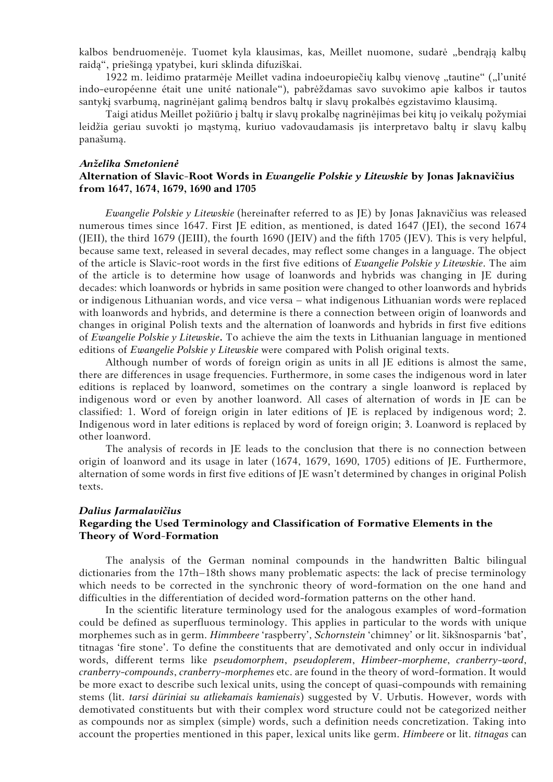kalbos bendruomenėje. Tuomet kyla klausimas, kas, Meillet nuomone, sudarė "bendrąją kalbų raidą", priešingą ypatybei, kuri sklinda difuziškai.

1922 m. leidimo pratarmėje Meillet vadina indoeuropiečių kalbų vienovę "tautine" ("l'unité indo-européenne était une unité nationale"), pabrėždamas savo suvokimo apie kalbos ir tautos santykį svarbumą, nagrinėjant galimą bendros baltų ir slavų prokalbės egzistavimo klausimą.

Taigi atidus Meillet požiūrio į baltų ir slavų prokalbę nagrinėjimas bei kitų jo veikalų požymiai leidžia geriau suvokti jo mąstymą, kuriuo vadovaudamasis jis interpretavo baltų ir slavų kalbų panašumą.

#### *Anželika Smetonienė*

### **Alternation of Slavic-Root Words in** *Ewangelie Polskie y Litewskie* **by Jonas Jaknavičius from 1647, 1674, 1679, 1690 and 1705**

*Ewangelie Polskie y Litewskie* (hereinafter referred to as JE) by Jonas Jaknavičius was released numerous times since 1647. First JE edition, as mentioned, is dated 1647 (JEI), the second 1674 (JEII), the third 1679 (JEIII), the fourth 1690 (JEIV) and the fifth 1705 (JEV). This is very helpful, because same text, released in several decades, may reflect some changes in a language. The object of the article is Slavic-root words in the first five editions of *Ewangelie Polskie y Litewskie*. The aim of the article is to determine how usage of loanwords and hybrids was changing in JE during decades: which loanwords or hybrids in same position were changed to other loanwords and hybrids or indigenous Lithuanian words, and vice versa – what indigenous Lithuanian words were replaced with loanwords and hybrids, and determine is there a connection between origin of loanwords and changes in original Polish texts and the alternation of loanwords and hybrids in first five editions of *Ewangelie Polskie y Litewskie***.** To achieve the aim the texts in Lithuanian language in mentioned editions of *Ewangelie Polskie y Litewskie* were compared with Polish original texts.

Although number of words of foreign origin as units in all JE editions is almost the same, there are differences in usage frequencies. Furthermore, in some cases the indigenous word in later editions is replaced by loanword, sometimes on the contrary a single loanword is replaced by indigenous word or even by another loanword. All cases of alternation of words in JE can be classified: 1. Word of foreign origin in later editions of JE is replaced by indigenous word; 2. Indigenous word in later editions is replaced by word of foreign origin; 3. Loanword is replaced by other loanword.

The analysis of records in JE leads to the conclusion that there is no connection between origin of loanword and its usage in later (1674, 1679, 1690, 1705) editions of JE. Furthermore, alternation of some words in first five editions of JE wasn't determined by changes in original Polish texts.

#### *Dalius Jarmalavičius*

## **Regarding the Used Terminology and Classification of Formative Elements in the Theory of Word-Formation**

The analysis of the German nominal compounds in the handwritten Baltic bilingual dictionaries from the 17th–18th shows many problematic aspects: the lack of precise terminology which needs to be corrected in the synchronic theory of word-formation on the one hand and difficulties in the differentiation of decided word-formation patterns on the other hand.

In the scientific literature terminology used for the analogous examples of word-formation could be defined as superfluous terminology. This applies in particular to the words with unique morphemes such as in germ. *Himmbeere* 'raspberry', *Schornstein* 'chimney' or lit. šikšnosparnis 'bat', titnagas 'fire stone'. To define the constituents that are demotivated and only occur in individual words, different terms like *pseudomorphem*, *pseudoplerem*, *Himbeer-morpheme*, *cranberry-word*, *cranberry-compounds*, *cranberry-morphemes* etc. are found in the theory of word-formation. It would be more exact to describe such lexical units, using the concept of quasi-compounds with remaining stems (lit. *tarsi dūriniai su atliekamais kamienais*) suggested by V. Urbutis. However, words with demotivated constituents but with their complex word structure could not be categorized neither as compounds nor as simplex (simple) words, such a definition needs concretization. Taking into account the properties mentioned in this paper, lexical units like germ. *Himbeere* or lit. *titnagas* can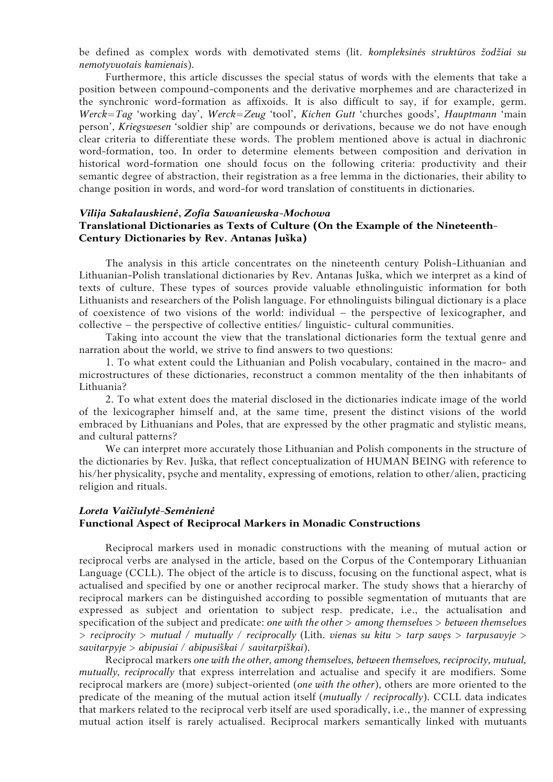be defined as complex words with demotivated stems (lit. *kompleksinės struktūros žodžiai su nemotyvuotais kamienais*).

Furthermore, this article discusses the special status of words with the elements that take a position between compound-components and the derivative morphemes and are characterized in the synchronic word-formation as affixoids. It is also difficult to say, if for example, germ. *Werck=Tag* 'working day', *Werck=Zeug* 'tool', *Kichen Gutt* 'churches goods', *Hauptmann* 'main person', *Kriegswesen* 'soldier ship' are compounds or derivations, because we do not have enough clear criteria to differentiate these words. The problem mentioned above is actual in diachronic word-formation, too. In order to determine elements between composition and derivation in historical word-formation one should focus on the following criteria: productivity and their semantic degree of abstraction, their registration as a free lemma in the dictionaries, their ability to change position in words, and word-for word translation of constituents in dictionaries.

## *Vilija Sakalauskienė***,** *Zofia Sawaniewska-Mochowa* **Translational Dictionaries as Texts of Culture (On the Example of the Nineteenth-Century Dictionaries by Rev. Antanas Juška)**

The analysis in this article concentrates on the nineteenth century Polish-Lithuanian and Lithuanian-Polish translational dictionaries by Rev. Antanas Juška, which we interpret as a kind of texts of culture. These types of sources provide valuable ethnolinguistic information for both Lithuanists and researchers of the Polish language. For ethnolinguists bilingual dictionary is a place of coexistence of two visions of the world: individual – the perspective of lexicographer, and collective – the perspective of collective entities/ linguistic- cultural communities.

Taking into account the view that the translational dictionaries form the textual genre and narration about the world, we strive to find answers to two questions:

1. To what extent could the Lithuanian and Polish vocabulary, contained in the macro- and microstructures of these dictionaries, reconstruct a common mentality of the then inhabitants of Lithuania?

2. To what extent does the material disclosed in the dictionaries indicate image of the world of the lexicographer himself and, at the same time, present the distinct visions of the world embraced by Lithuanians and Poles, that are expressed by the other pragmatic and stylistic means, and cultural patterns?

We can interpret more accurately those Lithuanian and Polish components in the structure of the dictionaries by Rev. Juška, that reflect conceptualization of HUMAN BEING with reference to his/her physicality, psyche and mentality, expressing of emotions, relation to other/alien, practicing religion and rituals.

# *Loreta Vaičiulytė-Semėnienė* **Functional Aspect of Reciprocal Markers in Monadic Constructions**

Reciprocal markers used in monadic constructions with the meaning of mutual action or reciprocal verbs are analysed in the article, based on the Corpus of the Contemporary Lithuanian Language (CCLL). The object of the article is to discuss, focusing on the functional aspect, what is actualised and specified by one or another reciprocal marker. The study shows that a hierarchy of reciprocal markers can be distinguished according to possible segmentation of mutuants that are expressed as subject and orientation to subject resp. predicate, i.e., the actualisation and specification of the subject and predicate: *one with the other* > *among themselves* > *between themselves*  > *reciprocity* > *mutual* / *mutually* / *reciprocally* (Lith. *vienas su kitu* > *tarp savęs* > *tarpusavyje* > *savitarpyje* > *abipusiai* / *abipusiškai* / *savitarpiškai*).

Reciprocal markers *one with the other, among themselves, between themselves, reciprocity, mutual, mutually, reciprocally* that express interrelation and actualise and specify it are modifiers. Some reciprocal markers are (more) subject-oriented (*one with the other*), others are more oriented to the predicate of the meaning of the mutual action itself (*mutually / reciprocally*). CCLL data indicates that markers related to the reciprocal verb itself are used sporadically, i.e., the manner of expressing mutual action itself is rarely actualised. Reciprocal markers semantically linked with mutuants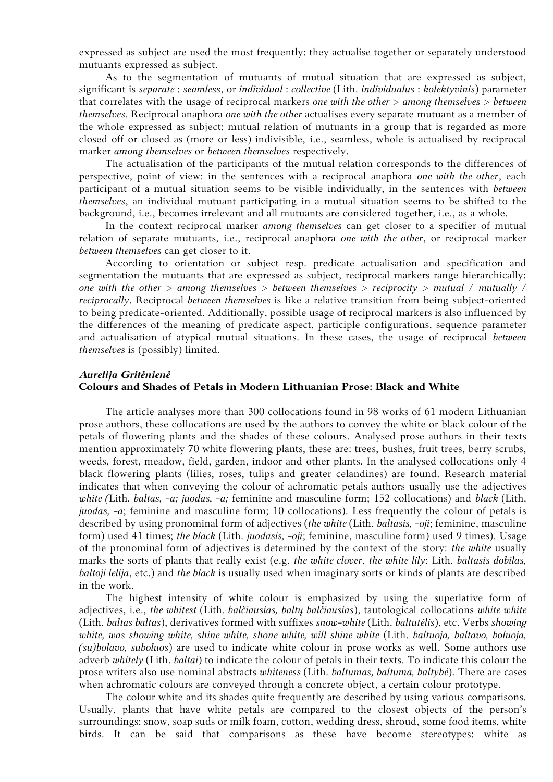expressed as subject are used the most frequently: they actualise together or separately understood mutuants expressed as subject.

As to the segmentation of mutuants of mutual situation that are expressed as subject, significant is *separate* : *seamless*, or *individual* : *collective* (Lith. *individualus* : *kolektyvinis*) parameter that correlates with the usage of reciprocal markers *one with the other* > *among themselves* > *between themselves*. Reciprocal anaphora *one with the other* actualises every separate mutuant as a member of the whole expressed as subject; mutual relation of mutuants in a group that is regarded as more closed off or closed as (more or less) indivisible, i.e., seamless, whole is actualised by reciprocal marker *among themselves* or *between themselves* respectively.

The actualisation of the participants of the mutual relation corresponds to the differences of perspective, point of view: in the sentences with a reciprocal anaphora *one with the other*, each participant of a mutual situation seems to be visible individually, in the sentences with *between themselves*, an individual mutuant participating in a mutual situation seems to be shifted to the background, i.e., becomes irrelevant and all mutuants are considered together, i.e., as a whole.

In the context reciprocal marker *among themselves* can get closer to a specifier of mutual relation of separate mutuants, i.e., reciprocal anaphora *one with the other*, or reciprocal marker *between themselves* can get closer to it.

According to orientation or subject resp. predicate actualisation and specification and segmentation the mutuants that are expressed as subject, reciprocal markers range hierarchically: *one with the other > among themselves > between themselves > reciprocity > mutual / mutually / reciprocally*. Reciprocal *between themselves* is like a relative transition from being subject-oriented to being predicate-oriented. Additionally, possible usage of reciprocal markers is also influenced by the differences of the meaning of predicate aspect, participle configurations, sequence parameter and actualisation of atypical mutual situations. In these cases, the usage of reciprocal *between themselves* is (possibly) limited.

#### *Aurelija Gritėnienė*

## **Colours and Shades of Petals in Modern Lithuanian Prose: Black and White**

The article analyses more than 300 collocations found in 98 works of 61 modern Lithuanian prose authors, these collocations are used by the authors to convey the white or black colour of the petals of flowering plants and the shades of these colours. Analysed prose authors in their texts mention approximately 70 white flowering plants, these are: trees, bushes, fruit trees, berry scrubs, weeds, forest, meadow, field, garden, indoor and other plants. In the analysed collocations only 4 black flowering plants (lilies, roses, tulips and greater celandines) are found. Research material indicates that when conveying the colour of achromatic petals authors usually use the adjectives *white (*Lith*. baltas, -a; juodas, -a;* feminine and masculine form; 152 collocations) and *black* (Lith. *juodas, -a*; feminine and masculine form; 10 collocations). Less frequently the colour of petals is described by using pronominal form of adjectives (*the white* (Lith. *baltasis, -oji*; feminine, masculine form) used 41 times; *the black* (Lith. *juodasis, -oji*; feminine, masculine form) used 9 times). Usage of the pronominal form of adjectives is determined by the context of the story: *the white* usually marks the sorts of plants that really exist (e.g. *the white clover*, *the white lily*; Lith. *baltasis dobilas, baltoji lelija*, etc.) and *the black* is usually used when imaginary sorts or kinds of plants are described in the work.

The highest intensity of white colour is emphasized by using the superlative form of adjectives, i.e., *the whitest* (Lith*. balčiausias, baltų balčiausias*), tautological collocations *white white*  (Lith. *baltas baltas*), derivatives formed with suffixes *snow-white* (Lith. *baltutėlis*), etc. Verbs *showing white, was showing white, shine white, shone white, will shine white* (Lith. *baltuoja, baltavo, boluoja, (su)bolavo, suboluos*) are used to indicate white colour in prose works as well. Some authors use adverb *whitely* (Lith. *baltai*) to indicate the colour of petals in their texts. To indicate this colour the prose writers also use nominal abstracts *whiteness* (Lith. *baltumas, baltuma, baltybė*). There are cases when achromatic colours are conveyed through a concrete object, a certain colour prototype.

The colour white and its shades quite frequently are described by using various comparisons. Usually, plants that have white petals are compared to the closest objects of the person's surroundings: snow, soap suds or milk foam, cotton, wedding dress, shroud, some food items, white birds. It can be said that comparisons as these have become stereotypes: white as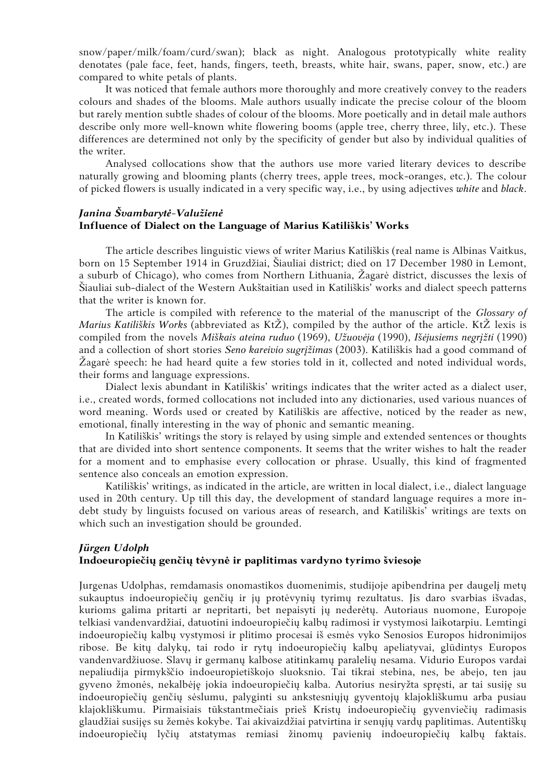snow/paper/milk/foam/curd/swan); black as night. Analogous prototypically white reality denotates (pale face, feet, hands, fingers, teeth, breasts, white hair, swans, paper, snow, etc.) are compared to white petals of plants.

It was noticed that female authors more thoroughly and more creatively convey to the readers colours and shades of the blooms. Male authors usually indicate the precise colour of the bloom but rarely mention subtle shades of colour of the blooms. More poetically and in detail male authors describe only more well-known white flowering booms (apple tree, cherry three, lily, etc.). These differences are determined not only by the specificity of gender but also by individual qualities of the writer.

Analysed collocations show that the authors use more varied literary devices to describe naturally growing and blooming plants (cherry trees, apple trees, mock-oranges, etc.). The colour of picked flowers is usually indicated in a very specific way, i.e., by using adjectives *white* and *black*.

# *Janina Švambarytė-Valužienė* **Influence of Dialect on the Language of Marius Katiliškis' Works**

The article describes linguistic views of writer Marius Katiliškis (real name is Albinas Vaitkus, born on 15 September 1914 in Gruzdžiai, Šiauliai district; died on 17 December 1980 in Lemont, a suburb of Chicago), who comes from Northern Lithuania, Žagarė district, discusses the lexis of Šiauliai sub-dialect of the Western Aukštaitian used in Katiliškis' works and dialect speech patterns that the writer is known for.

The article is compiled with reference to the material of the manuscript of the *Glossary of Marius Katiliškis Works* (abbreviated as KtŽ), compiled by the author of the article. KtŽ lexis is compiled from the novels *Miškais ateina ruduo* (1969), *Užuovėja* (1990), *Išėjusiems negrįžti* (1990) and a collection of short stories *Seno kareivio sugrįžimas* (2003). Katiliškis had a good command of Žagarė speech: he had heard quite a few stories told in it, collected and noted individual words, their forms and language expressions.

Dialect lexis abundant in Katiliškis' writings indicates that the writer acted as a dialect user, i.e., created words, formed collocations not included into any dictionaries, used various nuances of word meaning. Words used or created by Katiliškis are affective, noticed by the reader as new, emotional, finally interesting in the way of phonic and semantic meaning.

In Katiliškis' writings the story is relayed by using simple and extended sentences or thoughts that are divided into short sentence components. It seems that the writer wishes to halt the reader for a moment and to emphasise every collocation or phrase. Usually, this kind of fragmented sentence also conceals an emotion expression.

Katiliškis' writings, as indicated in the article, are written in local dialect, i.e., dialect language used in 20th century. Up till this day, the development of standard language requires a more indebt study by linguists focused on various areas of research, and Katiliškis' writings are texts on which such an investigation should be grounded.

# *Jürgen Udolph* **Indoeuropiečių genčių tėvynė ir paplitimas vardyno tyrimo šviesoje**

Jurgenas Udolphas, remdamasis onomastikos duomenimis, studijoje apibendrina per daugelį metų sukauptus indoeuropiečių genčių ir jų protėvynių tyrimų rezultatus. Jis daro svarbias išvadas, kurioms galima pritarti ar nepritarti, bet nepaisyti jų nederėtų. Autoriaus nuomone, Europoje telkiasi vandenvardžiai, datuotini indoeuropiečių kalbų radimosi ir vystymosi laikotarpiu. Lemtingi indoeuropiečių kalbų vystymosi ir plitimo procesai iš esmės vyko Senosios Europos hidronimijos ribose. Be kitų dalykų, tai rodo ir rytų indoeuropiečių kalbų apeliatyvai, glūdintys Europos vandenvardžiuose. Slavų ir germanų kalbose atitinkamų paralelių nesama. Vidurio Europos vardai nepaliudija pirmykščio indoeuropietiškojo sluoksnio. Tai tikrai stebina, nes, be abejo, ten jau gyveno žmonės, nekalbėję jokia indoeuropiečių kalba. Autorius nesiryžta spręsti, ar tai susiję su indoeuropiečių genčių sėslumu, palyginti su ankstesniųjų gyventojų klajokliškumu arba pusiau klajokliškumu. Pirmaisiais tūkstantmečiais prieš Kristų indoeuropiečių gyvenviečių radimasis glaudžiai susijęs su žemės kokybe. Tai akivaizdžiai patvirtina ir senųjų vardų paplitimas. Autentiškų indoeuropiečių lyčių atstatymas remiasi žinomų pavienių indoeuropiečių kalbų faktais.